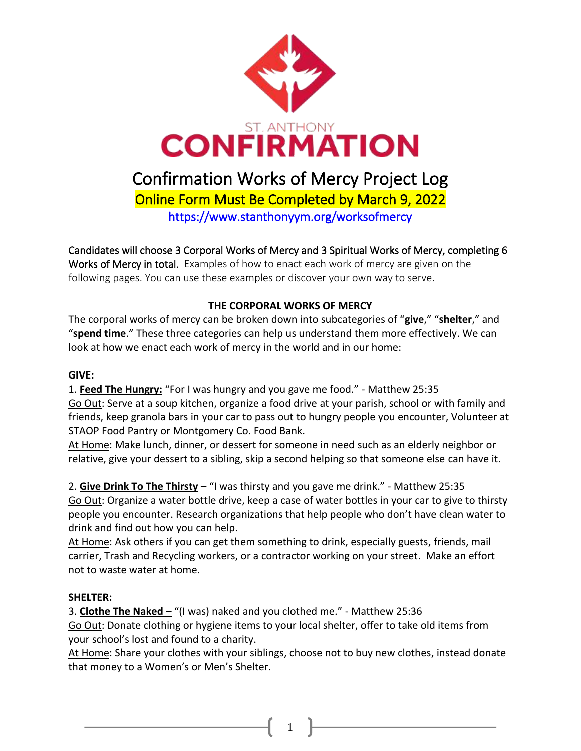

Candidates will choose 3 Corporal Works of Mercy and 3 Spiritual Works of Mercy, completing 6

Works of Mercy in total. Examples of how to enact each work of mercy are given on the following pages. You can use these examples or discover your own way to serve.

# **THE CORPORAL WORKS OF MERCY**

The corporal works of mercy can be broken down into subcategories of "**give**," "**shelter**," and "**spend time**." These three categories can help us understand them more effectively. We can look at how we enact each work of mercy in the world and in our home:

## **GIVE:**

1. **Feed The Hungry:** "For I was hungry and you gave me food." - Matthew 25:35 Go Out: Serve at a soup kitchen, organize a food drive at your parish, school or with family and friends, keep granola bars in your car to pass out to hungry people you encounter, Volunteer at STAOP Food Pantry or Montgomery Co. Food Bank.

At Home: Make lunch, dinner, or dessert for someone in need such as an elderly neighbor or relative, give your dessert to a sibling, skip a second helping so that someone else can have it.

2. **Give Drink To The Thirsty** – "I was thirsty and you gave me drink." - Matthew 25:35 Go Out: Organize a water bottle drive, keep a case of water bottles in your car to give to thirsty people you encounter. Research organizations that help people who don't have clean water to drink and find out how you can help.

At Home: Ask others if you can get them something to drink, especially guests, friends, mail carrier, Trash and Recycling workers, or a contractor working on your street. Make an effort not to waste water at home.

## **SHELTER:**

3. **Clothe The Naked –** "(I was) naked and you clothed me." - Matthew 25:36 Go Out: Donate clothing or hygiene items to your local shelter, offer to take old items from your school's lost and found to a charity.

At Home: Share your clothes with your siblings, choose not to buy new clothes, instead donate that money to a Women's or Men's Shelter.

1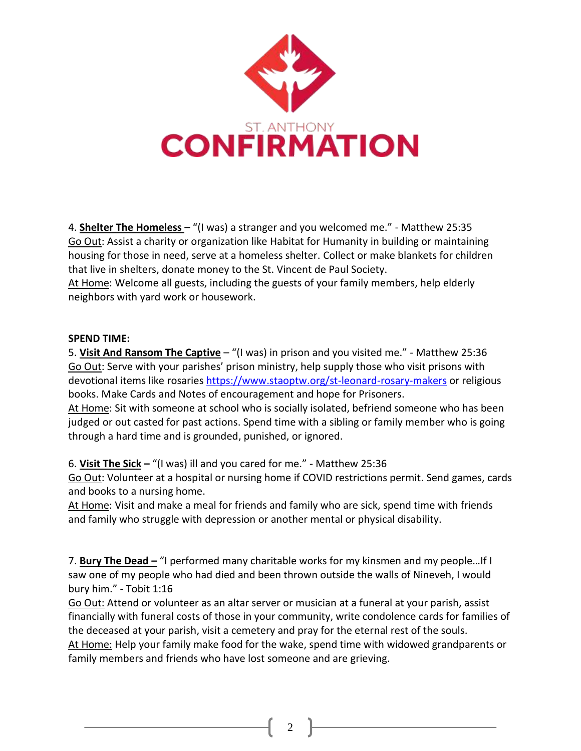

4. **Shelter The Homeless** – "(I was) a stranger and you welcomed me." - Matthew 25:35 Go Out: Assist a charity or organization like Habitat for Humanity in building or maintaining housing for those in need, serve at a homeless shelter. Collect or make blankets for children that live in shelters, donate money to the St. Vincent de Paul Society. At Home: Welcome all guests, including the guests of your family members, help elderly neighbors with yard work or housework.

### **SPEND TIME:**

5. **Visit And Ransom The Captive** – "(I was) in prison and you visited me." - Matthew 25:36 Go Out: Serve with your parishes' prison ministry, help supply those who visit prisons with devotional items like rosaries <https://www.staoptw.org/st-leonard-rosary-makers> or religious books. Make Cards and Notes of encouragement and hope for Prisoners.

At Home: Sit with someone at school who is socially isolated, befriend someone who has been judged or out casted for past actions. Spend time with a sibling or family member who is going through a hard time and is grounded, punished, or ignored.

6. **Visit The Sick –** "(I was) ill and you cared for me." - Matthew 25:36

Go Out: Volunteer at a hospital or nursing home if COVID restrictions permit. Send games, cards and books to a nursing home.

At Home: Visit and make a meal for friends and family who are sick, spend time with friends and family who struggle with depression or another mental or physical disability.

7. **Bury The Dead –** "I performed many charitable works for my kinsmen and my people…If I saw one of my people who had died and been thrown outside the walls of Nineveh, I would bury him." - Tobit 1:16

Go Out: Attend or volunteer as an altar server or musician at a funeral at your parish, assist financially with funeral costs of those in your community, write condolence cards for families of the deceased at your parish, visit a cemetery and pray for the eternal rest of the souls. At Home: Help your family make food for the wake, spend time with widowed grandparents or family members and friends who have lost someone and are grieving.

2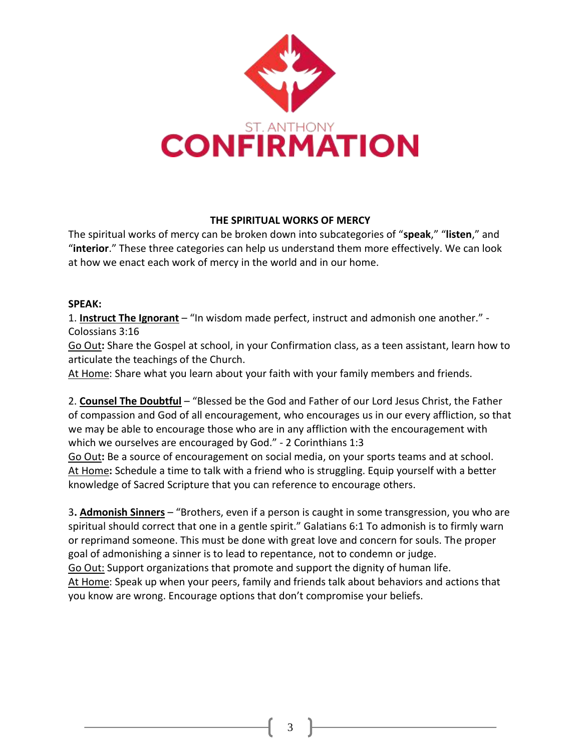

### **THE SPIRITUAL WORKS OF MERCY**

The spiritual works of mercy can be broken down into subcategories of "**speak**," "**listen**," and "**interior**." These three categories can help us understand them more effectively. We can look at how we enact each work of mercy in the world and in our home.

#### **SPEAK:**

1. **Instruct The Ignorant** – "In wisdom made perfect, instruct and admonish one another." - Colossians 3:16

Go Out**:** Share the Gospel at school, in your Confirmation class, as a teen assistant, learn how to articulate the teachings of the Church.

At Home: Share what you learn about your faith with your family members and friends.

2. **Counsel The Doubtful** – "Blessed be the God and Father of our Lord Jesus Christ, the Father of compassion and God of all encouragement, who encourages us in our every affliction, so that we may be able to encourage those who are in any affliction with the encouragement with which we ourselves are encouraged by God." - 2 Corinthians 1:3 Go Out**:** Be a source of encouragement on social media, on your sports teams and at school. At Home**:** Schedule a time to talk with a friend who is struggling. Equip yourself with a better knowledge of Sacred Scripture that you can reference to encourage others.

3**. Admonish Sinners** – "Brothers, even if a person is caught in some transgression, you who are spiritual should correct that one in a gentle spirit." Galatians 6:1 To admonish is to firmly warn or reprimand someone. This must be done with great love and concern for souls. The proper goal of admonishing a sinner is to lead to repentance, not to condemn or judge. Go Out: Support organizations that promote and support the dignity of human life. At Home: Speak up when your peers, family and friends talk about behaviors and actions that you know are wrong. Encourage options that don't compromise your beliefs.

3